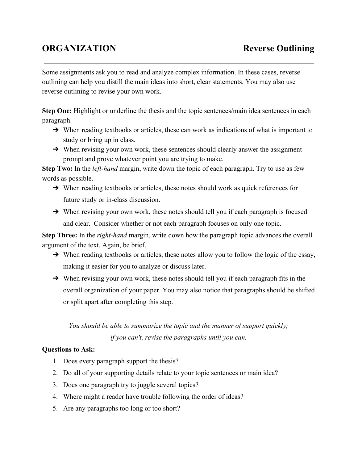## **ORGANIZATION Reverse Outlining**

Some assignments ask you to read and analyze complex information. In these cases, reverse outlining can help you distill the main ideas into short, clear statements. You may also use reverse outlining to revise your own work.

**Step One:** Highlight or underline the thesis and the topic sentences/main idea sentences in each paragraph.

- $\rightarrow$  When reading textbooks or articles, these can work as indications of what is important to study or bring up in class.
- → When revising your own work, these sentences should clearly answer the assignment prompt and prove whatever point you are trying to make.

**Step Two:** In the *left-hand* margin, write down the topic of each paragraph. Try to use as few words as possible.

- $\rightarrow$  When reading textbooks or articles, these notes should work as quick references for future study or in-class discussion.
- → When revising your own work, these notes should tell you if each paragraph is focused and clear. Consider whether or not each paragraph focuses on only one topic.

**Step Three:** In the *right-hand* margin, write down how the paragraph topic advances the overall argument of the text. Again, be brief.

- $\rightarrow$  When reading textbooks or articles, these notes allow you to follow the logic of the essay, making it easier for you to analyze or discuss later.
- → When revising your own work, these notes should tell you if each paragraph fits in the overall organization of your paper. You may also notice that paragraphs should be shifted or split apart after completing this step.

## *You should be able to summarize the topic and the manner of support quickly; if you can't, revise the paragraphs until you can.*

## **Questions to Ask:**

- 1. Does every paragraph support the thesis?
- 2. Do all of your supporting details relate to your topic sentences or main idea?
- 3. Does one paragraph try to juggle several topics?
- 4. Where might a reader have trouble following the order of ideas?
- 5. Are any paragraphs too long or too short?